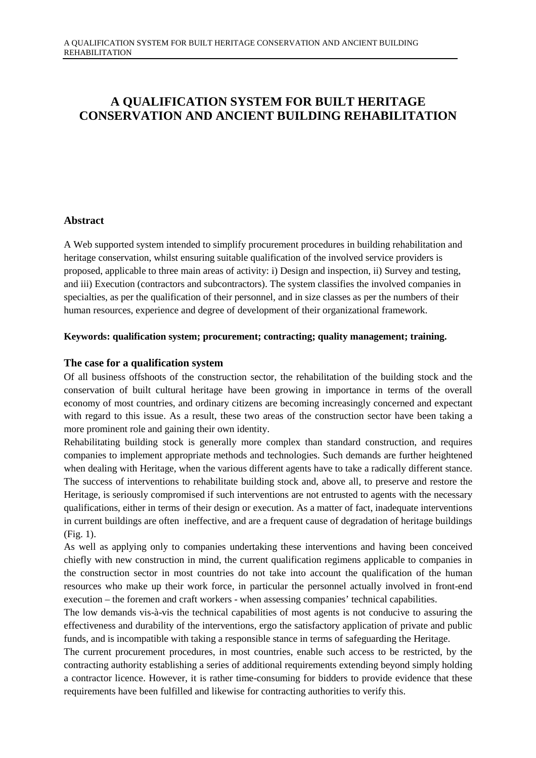# **A QUALIFICATION SYSTEM FOR BUILT HERITAGE CONSERVATION AND ANCIENT BUILDING REHABILITATION**

# **Abstract**

A Web supported system intended to simplify procurement procedures in building rehabilitation and heritage conservation, whilst ensuring suitable qualification of the involved service providers is proposed, applicable to three main areas of activity: i) Design and inspection, ii) Survey and testing, and iii) Execution (contractors and subcontractors). The system classifies the involved companies in specialties, as per the qualification of their personnel, and in size classes as per the numbers of their human resources, experience and degree of development of their organizational framework.

## **Keywords: qualification system; procurement; contracting; quality management; training.**

## **The case for a qualification system**

Of all business offshoots of the construction sector, the rehabilitation of the building stock and the conservation of built cultural heritage have been growing in importance in terms of the overall economy of most countries, and ordinary citizens are becoming increasingly concerned and expectant with regard to this issue. As a result, these two areas of the construction sector have been taking a more prominent role and gaining their own identity.

Rehabilitating building stock is generally more complex than standard construction, and requires companies to implement appropriate methods and technologies. Such demands are further heightened when dealing with Heritage, when the various different agents have to take a radically different stance. The success of interventions to rehabilitate building stock and, above all, to preserve and restore the Heritage, is seriously compromised if such interventions are not entrusted to agents with the necessary qualifications, either in terms of their design or execution. As a matter of fact, inadequate interventions in current buildings are often ineffective, and are a frequent cause of degradation of heritage buildings (Fig. 1).

As well as applying only to companies undertaking these interventions and having been conceived chiefly with new construction in mind, the current qualification regimens applicable to companies in the construction sector in most countries do not take into account the qualification of the human resources who make up their work force, in particular the personnel actually involved in front-end execution – the foremen and craft workers - when assessing companies' technical capabilities.

The low demands vis-à-vis the technical capabilities of most agents is not conducive to assuring the effectiveness and durability of the interventions, ergo the satisfactory application of private and public funds, and is incompatible with taking a responsible stance in terms of safeguarding the Heritage.

The current procurement procedures, in most countries, enable such access to be restricted, by the contracting authority establishing a series of additional requirements extending beyond simply holding a contractor licence. However, it is rather time-consuming for bidders to provide evidence that these requirements have been fulfilled and likewise for contracting authorities to verify this.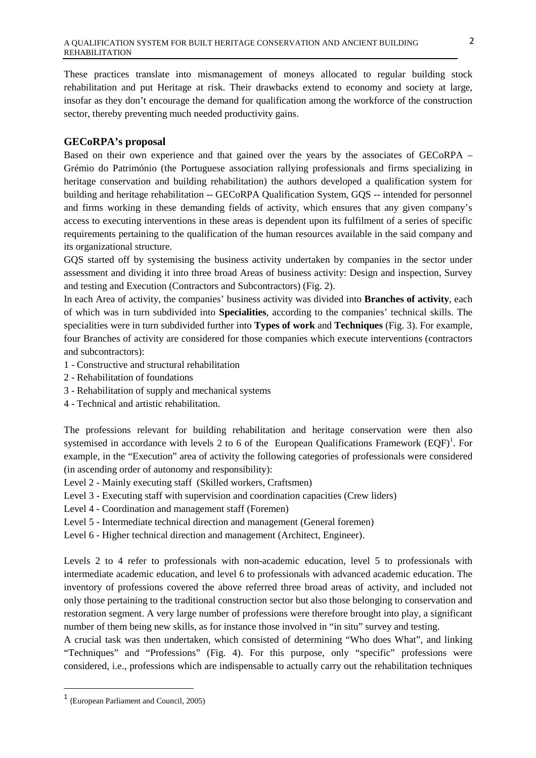These practices translate into mismanagement of moneys allocated to regular building stock rehabilitation and put Heritage at risk. Their drawbacks extend to economy and society at large, insofar as they don't encourage the demand for qualification among the workforce of the construction sector, thereby preventing much needed productivity gains.

# **GECoRPA's proposal**

Based on their own experience and that gained over the years by the associates of GECoRPA – Grémio do Património (the Portuguese association rallying professionals and firms specializing in heritage conservation and building rehabilitation) the authors developed a qualification system for building and heritage rehabilitation -- GECoRPA Qualification System, GOS -- intended for personnel and firms working in these demanding fields of activity, which ensures that any given company's access to executing interventions in these areas is dependent upon its fulfilment of a series of specific requirements pertaining to the qualification of the human resources available in the said company and its organizational structure.

GQS started off by systemising the business activity undertaken by companies in the sector under assessment and dividing it into three broad Areas of business activity: Design and inspection, Survey and testing and Execution (Contractors and Subcontractors) (Fig. 2).

In each Area of activity, the companies' business activity was divided into **Branches of activity**, each of which was in turn subdivided into **Specialities**, according to the companies' technical skills. The specialities were in turn subdivided further into **Types of work** and **Techniques** (Fig. 3). For example, four Branches of activity are considered for those companies which execute interventions (contractors and subcontractors):

- 1 Constructive and structural rehabilitation
- 2 Rehabilitation of foundations
- 3 Rehabilitation of supply and mechanical systems
- 4 Technical and artistic rehabilitation.

The professions relevant for building rehabilitation and heritage conservation were then also systemised in accordance with levels 2 to 6 of the European Qualifications Framework  $(EQF)^{1}$ . For example, in the "Execution" area of activity the following categories of professionals were considered (in ascending order of autonomy and responsibility):

- Level 2 Mainly executing staff (Skilled workers, Craftsmen)
- Level 3 Executing staff with supervision and coordination capacities (Crew liders)
- Level 4 Coordination and management staff (Foremen)
- Level 5 Intermediate technical direction and management (General foremen)
- Level 6 Higher technical direction and management (Architect, Engineer).

Levels 2 to 4 refer to professionals with non-academic education, level 5 to professionals with intermediate academic education, and level 6 to professionals with advanced academic education. The inventory of professions covered the above referred three broad areas of activity, and included not only those pertaining to the traditional construction sector but also those belonging to conservation and restoration segment. A very large number of professions were therefore brought into play, a significant number of them being new skills, as for instance those involved in "in situ" survey and testing.

A crucial task was then undertaken, which consisted of determining "Who does What", and linking "Techniques" and "Professions" (Fig. 4). For this purpose, only "specific" professions were considered, i.e., professions which are indispensable to actually carry out the rehabilitation techniques

 $\overline{\phantom{0}}$ 

<sup>1</sup> (European Parliament and Council, 2005)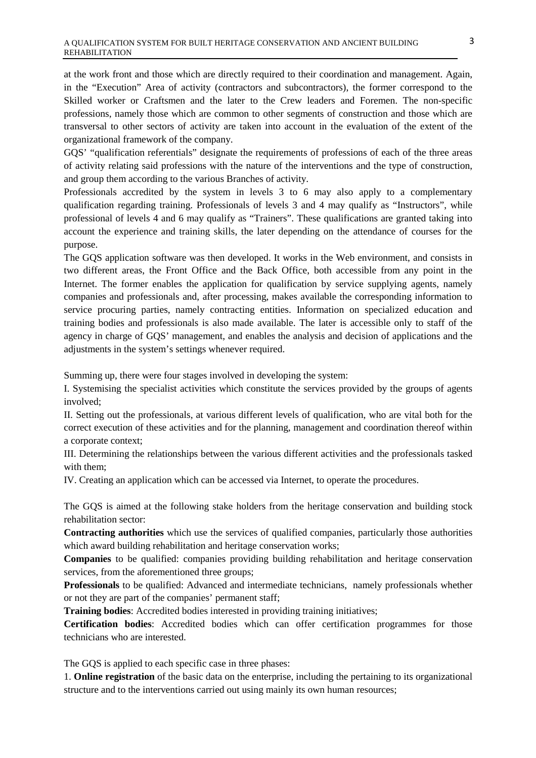at the work front and those which are directly required to their coordination and management. Again, in the "Execution" Area of activity (contractors and subcontractors), the former correspond to the Skilled worker or Craftsmen and the later to the Crew leaders and Foremen. The non-specific professions, namely those which are common to other segments of construction and those which are transversal to other sectors of activity are taken into account in the evaluation of the extent of the organizational framework of the company.

GQS' "qualification referentials" designate the requirements of professions of each of the three areas of activity relating said professions with the nature of the interventions and the type of construction, and group them according to the various Branches of activity.

Professionals accredited by the system in levels 3 to 6 may also apply to a complementary qualification regarding training. Professionals of levels 3 and 4 may qualify as "Instructors", while professional of levels 4 and 6 may qualify as "Trainers". These qualifications are granted taking into account the experience and training skills, the later depending on the attendance of courses for the purpose.

The GQS application software was then developed. It works in the Web environment, and consists in two different areas, the Front Office and the Back Office, both accessible from any point in the Internet. The former enables the application for qualification by service supplying agents, namely companies and professionals and, after processing, makes available the corresponding information to service procuring parties, namely contracting entities. Information on specialized education and training bodies and professionals is also made available. The later is accessible only to staff of the agency in charge of GQS' management, and enables the analysis and decision of applications and the adjustments in the system's settings whenever required.

Summing up, there were four stages involved in developing the system:

I. Systemising the specialist activities which constitute the services provided by the groups of agents involved;

II. Setting out the professionals, at various different levels of qualification, who are vital both for the correct execution of these activities and for the planning, management and coordination thereof within a corporate context;

III. Determining the relationships between the various different activities and the professionals tasked with them;

IV. Creating an application which can be accessed via Internet, to operate the procedures.

The GQS is aimed at the following stake holders from the heritage conservation and building stock rehabilitation sector:

**Contracting authorities** which use the services of qualified companies, particularly those authorities which award building rehabilitation and heritage conservation works;

**Companies** to be qualified: companies providing building rehabilitation and heritage conservation services, from the aforementioned three groups;

**Professionals** to be qualified: Advanced and intermediate technicians, namely professionals whether or not they are part of the companies' permanent staff;

**Training bodies**: Accredited bodies interested in providing training initiatives;

**Certification bodies**: Accredited bodies which can offer certification programmes for those technicians who are interested.

The GQS is applied to each specific case in three phases:

1. **Online registration** of the basic data on the enterprise, including the pertaining to its organizational structure and to the interventions carried out using mainly its own human resources;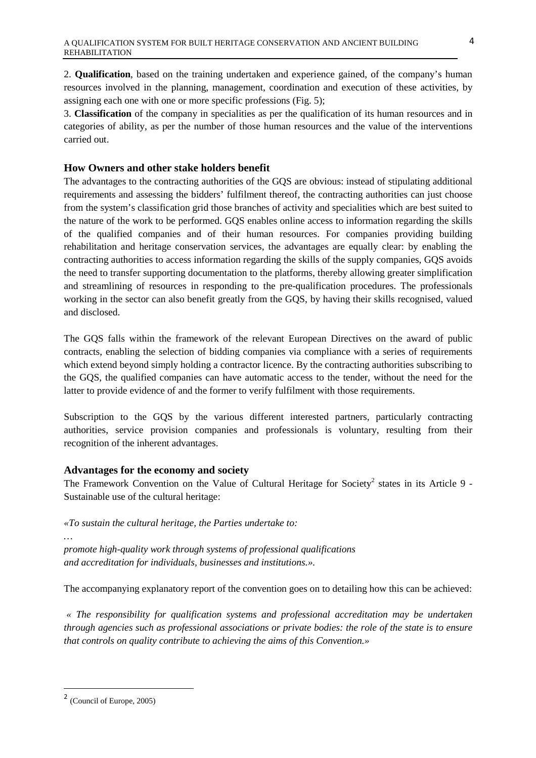2. **Qualification**, based on the training undertaken and experience gained, of the company's human resources involved in the planning, management, coordination and execution of these activities, by assigning each one with one or more specific professions (Fig. 5);

3. **Classification** of the company in specialities as per the qualification of its human resources and in categories of ability, as per the number of those human resources and the value of the interventions carried out.

#### **How Owners and other stake holders benefit**

The advantages to the contracting authorities of the GQS are obvious: instead of stipulating additional requirements and assessing the bidders' fulfilment thereof, the contracting authorities can just choose from the system's classification grid those branches of activity and specialities which are best suited to the nature of the work to be performed. GQS enables online access to information regarding the skills of the qualified companies and of their human resources. For companies providing building rehabilitation and heritage conservation services, the advantages are equally clear: by enabling the contracting authorities to access information regarding the skills of the supply companies, GQS avoids the need to transfer supporting documentation to the platforms, thereby allowing greater simplification and streamlining of resources in responding to the pre-qualification procedures. The professionals working in the sector can also benefit greatly from the GQS, by having their skills recognised, valued and disclosed.

The GQS falls within the framework of the relevant European Directives on the award of public contracts, enabling the selection of bidding companies via compliance with a series of requirements which extend beyond simply holding a contractor licence. By the contracting authorities subscribing to the GQS, the qualified companies can have automatic access to the tender, without the need for the latter to provide evidence of and the former to verify fulfilment with those requirements.

Subscription to the GQS by the various different interested partners, particularly contracting authorities, service provision companies and professionals is voluntary, resulting from their recognition of the inherent advantages.

#### **Advantages for the economy and society**

The Framework Convention on the Value of Cultural Heritage for Society<sup>2</sup> states in its Article 9 -Sustainable use of the cultural heritage:

*«To sustain the cultural heritage, the Parties undertake to:* 

*promote high-quality work through systems of professional qualifications and accreditation for individuals, businesses and institutions.».* 

The accompanying explanatory report of the convention goes on to detailing how this can be achieved:

*« The responsibility for qualification systems and professional accreditation may be undertaken through agencies such as professional associations or private bodies: the role of the state is to ensure that controls on quality contribute to achieving the aims of this Convention.»* 

*…* 

 $\overline{\phantom{0}}$ 

<sup>2</sup> (Council of Europe, 2005)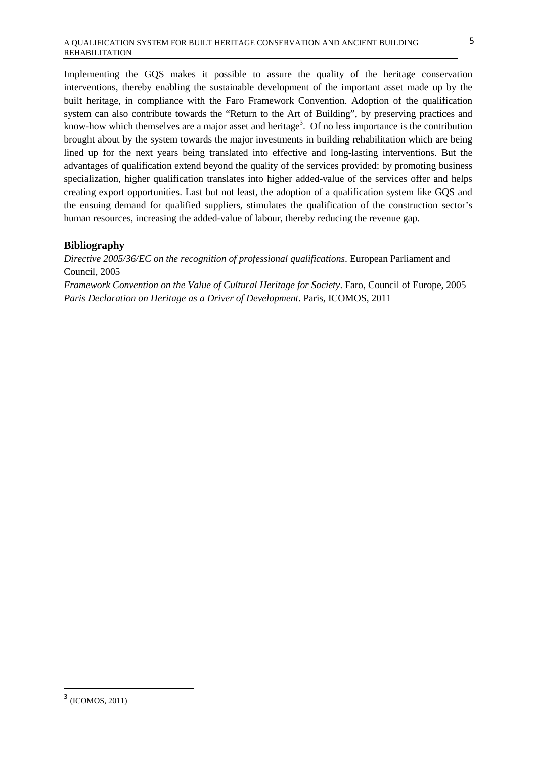Implementing the GQS makes it possible to assure the quality of the heritage conservation interventions, thereby enabling the sustainable development of the important asset made up by the built heritage, in compliance with the Faro Framework Convention. Adoption of the qualification system can also contribute towards the "Return to the Art of Building", by preserving practices and know-how which themselves are a major asset and heritage<sup>3</sup>. Of no less importance is the contribution brought about by the system towards the major investments in building rehabilitation which are being lined up for the next years being translated into effective and long-lasting interventions. But the advantages of qualification extend beyond the quality of the services provided: by promoting business specialization, higher qualification translates into higher added-value of the services offer and helps creating export opportunities. Last but not least, the adoption of a qualification system like GQS and the ensuing demand for qualified suppliers, stimulates the qualification of the construction sector's human resources, increasing the added-value of labour, thereby reducing the revenue gap.

## **Bibliography**

*Directive 2005/36/EC on the recognition of professional qualifications*. European Parliament and Council, 2005

*Framework Convention on the Value of Cultural Heritage for Society*. Faro, Council of Europe, 2005 *Paris Declaration on Heritage as a Driver of Development*. Paris, ICOMOS, 2011

 $\overline{\phantom{0}}$ 

<sup>3</sup> (ICOMOS, 2011)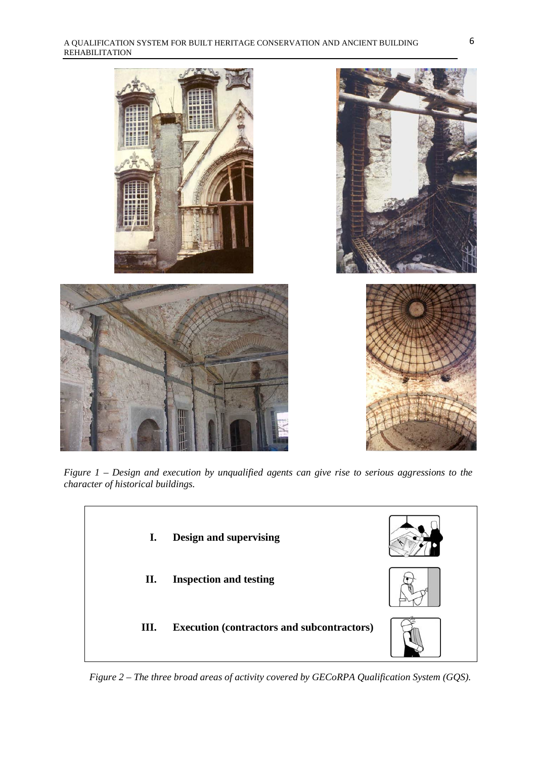

*Figure 1 – Design and execution by unqualified agents can give rise to serious aggressions to the character of historical buildings.*



*Figure 2 – The three broad areas of activity covered by GECoRPA Qualification System (GQS).*